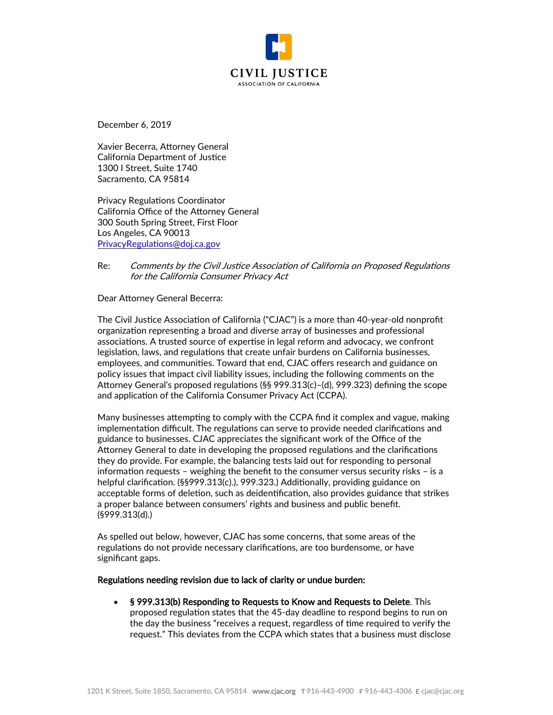

December 6, 2019

Xavier Becerra, Attorney General California Department of Justice 1300 I Street, Suite 1740 Sacramento, CA 95814

Privacy Regulations Coordinator California Office of the Attorney General 300 South Spring Street, First Floor Los Angeles, CA 90013 [PrivacyRegulations@doj.ca.gov](mailto:PrivacyRegulations@doj.ca.gov)

## Re: Comments by the Civil Justice Association of California on Proposed Regulations for the California Consumer Privacy Act

Dear Attorney General Becerra:

The Civil Justice Association of California ("CJAC") is a more than 40-year-old nonprofit organization representing a broad and diverse array of businesses and professional associations. A trusted source of expertise in legal reform and advocacy, we confront legislation, laws, and regulations that create unfair burdens on California businesses, employees, and communities. Toward that end, CJAC offers research and guidance on policy issues that impact civil liability issues, including the following comments on the Attorney General's proposed regulations (§§ 999.313(c)–(d), 999.323) defining the scope and application of the California Consumer Privacy Act (CCPA).

Many businesses attempting to comply with the CCPA find it complex and vague, making implementation difficult. The regulations can serve to provide needed clarifications and guidance to businesses. CJAC appreciates the significant work of the Office of the Attorney General to date in developing the proposed regulations and the clarifications they do provide. For example, the balancing tests laid out for responding to personal information requests – weighing the benefit to the consumer versus security risks – is a helpful clarification. (§§999.313(c).), 999.323.) Additionally, providing guidance on acceptable forms of deletion, such as deidentification, also provides guidance that strikes a proper balance between consumers' rights and business and public benefit. (§999.313(d).)

As spelled out below, however, CJAC has some concerns, that some areas of the regulations do not provide necessary clarifications, are too burdensome, or have significant gaps.

## Regulations needing revision due to lack of clarity or undue burden:

• § 999.313(b) Responding to Requests to Know and Requests to Delete. This proposed regulation states that the 45-day deadline to respond begins to run on the day the business "receives a request, regardless of time required to verify the request." This deviates from the CCPA which states that a business must disclose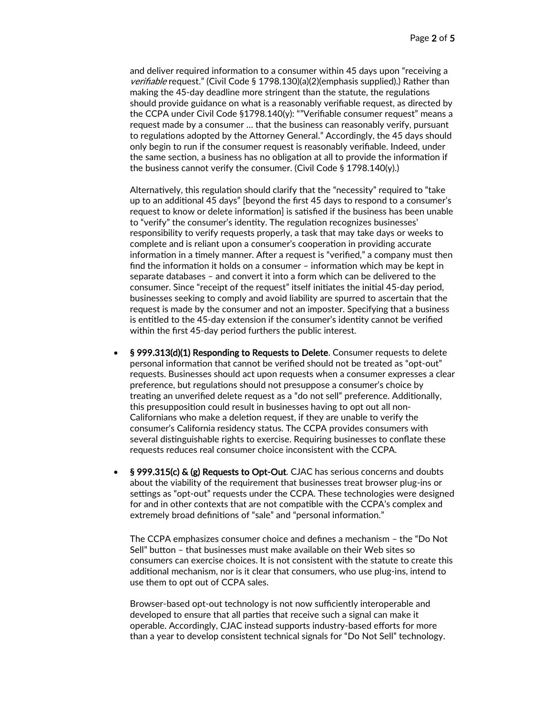and deliver required information to a consumer within 45 days upon "receiving a verifiable request." (Civil Code § 1798.130)(a)(2)(emphasis supplied).) Rather than making the 45-day deadline more stringent than the statute, the regulations should provide guidance on what is a reasonably verifiable request, as directed by the CCPA under Civil Code §1798.140(y): ""Verifiable consumer request" means a request made by a consumer … that the business can reasonably verify, pursuant to regulations adopted by the Attorney General." Accordingly, the 45 days should only begin to run if the consumer request is reasonably verifiable. Indeed, under the same section, a business has no obligation at all to provide the information if the business cannot verify the consumer. (Civil Code § 1798.140(y).)

Alternatively, this regulation should clarify that the "necessity" required to "take up to an additional 45 days" [beyond the first 45 days to respond to a consumer's request to know or delete information] is satisfied if the business has been unable to "verify" the consumer's identity. The regulation recognizes businesses' responsibility to verify requests properly, a task that may take days or weeks to complete and is reliant upon a consumer's cooperation in providing accurate information in a timely manner. After a request is "verified," a company must then find the information it holds on a consumer – information which may be kept in separate databases – and convert it into a form which can be delivered to the consumer. Since "receipt of the request" itself initiates the initial 45-day period, businesses seeking to comply and avoid liability are spurred to ascertain that the request is made by the consumer and not an imposter. Specifying that a business is entitled to the 45-day extension if the consumer's identity cannot be verified within the first 45-day period furthers the public interest.

- § 999.313(d)(1) Responding to Requests to Delete. Consumer requests to delete personal information that cannot be verified should not be treated as "opt-out" requests. Businesses should act upon requests when a consumer expresses a clear preference, but regulations should not presuppose a consumer's choice by treating an unverified delete request as a "do not sell" preference. Additionally, this presupposition could result in businesses having to opt out all non-Californians who make a deletion request, if they are unable to verify the consumer's California residency status. The CCPA provides consumers with several distinguishable rights to exercise. Requiring businesses to conflate these requests reduces real consumer choice inconsistent with the CCPA.
- § 999.315(c) & (g) Requests to Opt-Out. CJAC has serious concerns and doubts about the viability of the requirement that businesses treat browser plug-ins or settings as "opt-out" requests under the CCPA. These technologies were designed for and in other contexts that are not compatible with the CCPA's complex and extremely broad definitions of "sale" and "personal information."

The CCPA emphasizes consumer choice and defines a mechanism – the "Do Not Sell" button – that businesses must make available on their Web sites so consumers can exercise choices. It is not consistent with the statute to create this additional mechanism, nor is it clear that consumers, who use plug-ins, intend to use them to opt out of CCPA sales.

Browser-based opt-out technology is not now sufficiently interoperable and developed to ensure that all parties that receive such a signal can make it operable. Accordingly, CJAC instead supports industry-based efforts for more than a year to develop consistent technical signals for "Do Not Sell" technology.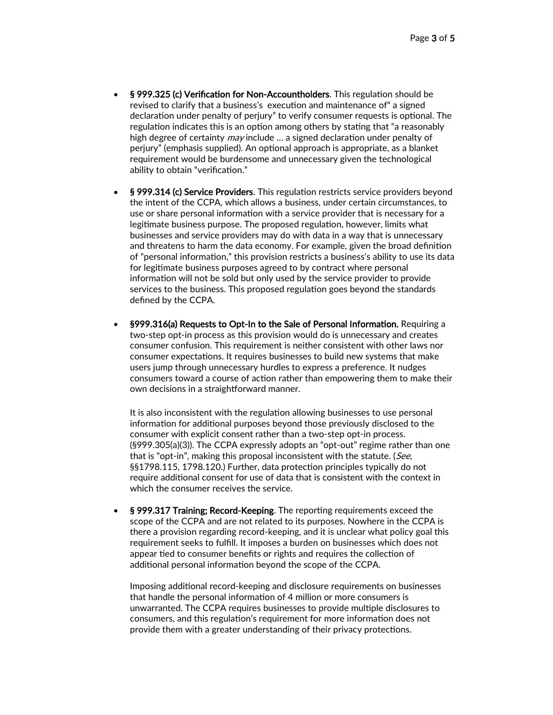- § 999.325 (c) Verification for Non-Accountholders. This regulation should be revised to clarify that a business's execution and maintenance of" a signed declaration under penalty of perjury" to verify consumer requests is optional. The regulation indicates this is an option among others by stating that "a reasonably high degree of certainty *may* include ... a signed declaration under penalty of perjury" (emphasis supplied). An optional approach is appropriate, as a blanket requirement would be burdensome and unnecessary given the technological ability to obtain "verification."
- § 999.314 (c) Service Providers. This regulation restricts service providers beyond the intent of the CCPA, which allows a business, under certain circumstances, to use or share personal information with a service provider that is necessary for a legitimate business purpose. The proposed regulation, however, limits what businesses and service providers may do with data in a way that is unnecessary and threatens to harm the data economy. For example, given the broad definition of "personal information," this provision restricts a business's ability to use its data for legitimate business purposes agreed to by contract where personal information will not be sold but only used by the service provider to provide services to the business. This proposed regulation goes beyond the standards defined by the CCPA.
- §999.316(a) Requests to Opt-In to the Sale of Personal Information. Requiring a two-step opt-in process as this provision would do is unnecessary and creates consumer confusion. This requirement is neither consistent with other laws nor consumer expectations. It requires businesses to build new systems that make users jump through unnecessary hurdles to express a preference. It nudges consumers toward a course of action rather than empowering them to make their own decisions in a straightforward manner.

It is also inconsistent with the regulation allowing businesses to use personal information for additional purposes beyond those previously disclosed to the consumer with explicit consent rather than a two-step opt-in process. (§999.305(a)(3)). The CCPA expressly adopts an "opt-out" regime rather than one that is "opt-in", making this proposal inconsistent with the statute. (See, §§1798.115, 1798.120.) Further, data protection principles typically do not require additional consent for use of data that is consistent with the context in which the consumer receives the service.

• § 999.317 Training; Record-Keeping. The reporting requirements exceed the scope of the CCPA and are not related to its purposes. Nowhere in the CCPA is there a provision regarding record-keeping, and it is unclear what policy goal this requirement seeks to fulfill. It imposes a burden on businesses which does not appear tied to consumer benefits or rights and requires the collection of additional personal information beyond the scope of the CCPA.

Imposing additional record-keeping and disclosure requirements on businesses that handle the personal information of 4 million or more consumers is unwarranted. The CCPA requires businesses to provide multiple disclosures to consumers, and this regulation's requirement for more information does not provide them with a greater understanding of their privacy protections.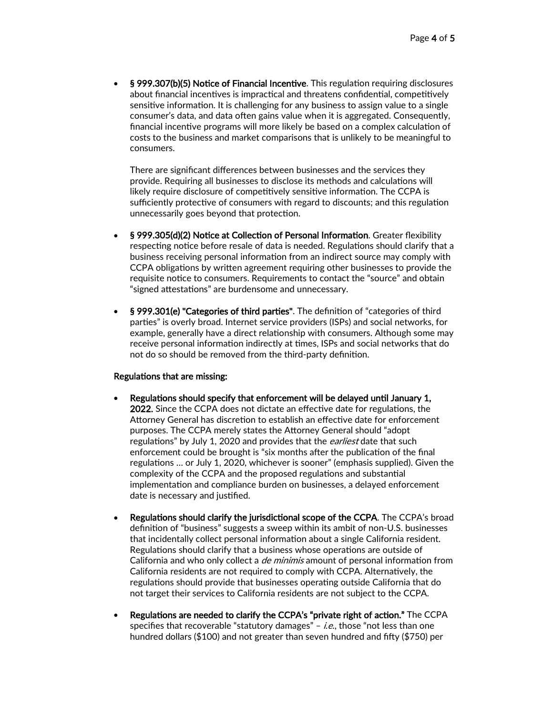• § 999.307(b)(5) Notice of Financial Incentive. This regulation requiring disclosures about financial incentives is impractical and threatens confidential, competitively sensitive information. It is challenging for any business to assign value to a single consumer's data, and data often gains value when it is aggregated. Consequently, financial incentive programs will more likely be based on a complex calculation of costs to the business and market comparisons that is unlikely to be meaningful to consumers.

There are significant differences between businesses and the services they provide. Requiring all businesses to disclose its methods and calculations will likely require disclosure of competitively sensitive information. The CCPA is sufficiently protective of consumers with regard to discounts; and this regulation unnecessarily goes beyond that protection.

- § 999.305(d)(2) Notice at Collection of Personal Information. Greater flexibility respecting notice before resale of data is needed. Regulations should clarify that a business receiving personal information from an indirect source may comply with CCPA obligations by written agreement requiring other businesses to provide the requisite notice to consumers. Requirements to contact the "source" and obtain "signed attestations" are burdensome and unnecessary.
- § 999.301(e) "Categories of third parties". The definition of "categories of third parties" is overly broad. Internet service providers (ISPs) and social networks, for example, generally have a direct relationship with consumers. Although some may receive personal information indirectly at times, ISPs and social networks that do not do so should be removed from the third-party definition.

## Regulations that are missing:

- Regulations should specify that enforcement will be delayed until January 1, 2022. Since the CCPA does not dictate an effective date for regulations, the Attorney General has discretion to establish an effective date for enforcement purposes. The CCPA merely states the Attorney General should "adopt regulations" by July 1, 2020 and provides that the *earliest* date that such enforcement could be brought is "six months after the publication of the final regulations … or July 1, 2020, whichever is sooner" (emphasis supplied). Given the complexity of the CCPA and the proposed regulations and substantial implementation and compliance burden on businesses, a delayed enforcement date is necessary and justified.
- Regulations should clarify the jurisdictional scope of the CCPA. The CCPA's broad definition of "business" suggests a sweep within its ambit of non-U.S. businesses that incidentally collect personal information about a single California resident. Regulations should clarify that a business whose operations are outside of California and who only collect a *de minimis* amount of personal information from California residents are not required to comply with CCPA. Alternatively, the regulations should provide that businesses operating outside California that do not target their services to California residents are not subject to the CCPA.
- Regulations are needed to clarify the CCPA's "private right of action." The CCPA specifies that recoverable "statutory damages" – i.e., those "not less than one hundred dollars (\$100) and not greater than seven hundred and fifty (\$750) per